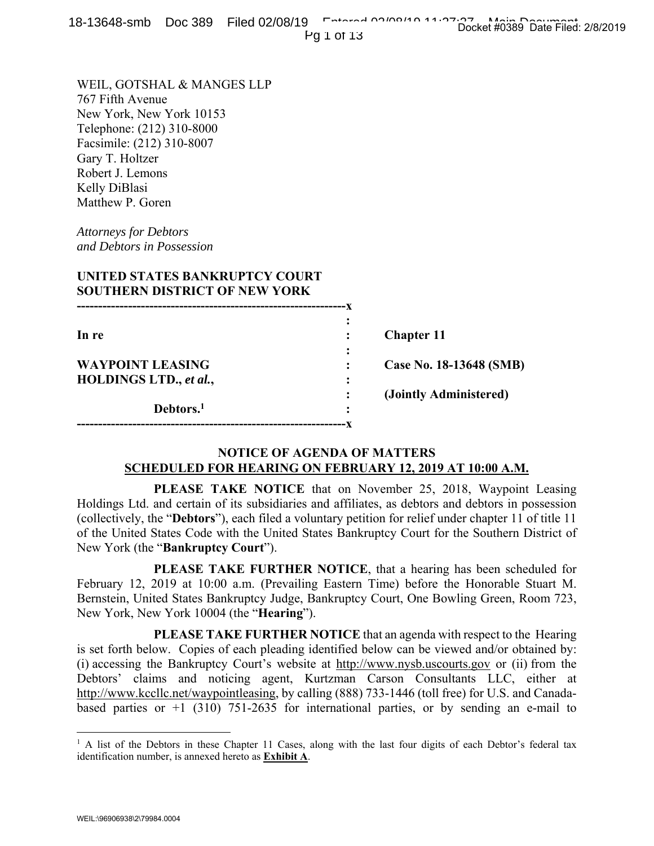Pg 1 of 13

WEIL, GOTSHAL & MANGES LLP 767 Fifth Avenue New York, New York 10153 Telephone: (212) 310-8000 Facsimile: (212) 310-8007 Gary T. Holtzer Robert J. Lemons Kelly DiBlasi Matthew P. Goren

*Attorneys for Debtors and Debtors in Possession* 

| UNITED STATES BANKRUPTCY COURT<br><b>SOUTHERN DISTRICT OF NEW YORK</b> |                |                         |
|------------------------------------------------------------------------|----------------|-------------------------|
| In re                                                                  | ٠<br>$\bullet$ | <b>Chapter 11</b>       |
| <b>WAYPOINT LEASING</b><br>HOLDINGS LTD., et al.,                      | ٠              | Case No. 18-13648 (SMB) |
| Debtors. <sup>1</sup>                                                  |                | (Jointly Administered)  |

# **NOTICE OF AGENDA OF MATTERS SCHEDULED FOR HEARING ON FEBRUARY 12, 2019 AT 10:00 A.M.**

**---------------------------------------------------------------x** 

 **PLEASE TAKE NOTICE** that on November 25, 2018, Waypoint Leasing Holdings Ltd. and certain of its subsidiaries and affiliates, as debtors and debtors in possession (collectively, the "**Debtors**"), each filed a voluntary petition for relief under chapter 11 of title 11 of the United States Code with the United States Bankruptcy Court for the Southern District of New York (the "**Bankruptcy Court**").

 **PLEASE TAKE FURTHER NOTICE**, that a hearing has been scheduled for February 12, 2019 at 10:00 a.m. (Prevailing Eastern Time) before the Honorable Stuart M. Bernstein, United States Bankruptcy Judge, Bankruptcy Court, One Bowling Green, Room 723, New York, New York 10004 (the "**Hearing**").

 **PLEASE TAKE FURTHER NOTICE** that an agenda with respect to the Hearing is set forth below. Copies of each pleading identified below can be viewed and/or obtained by: (i) accessing the Bankruptcy Court's website at http://www.nysb.uscourts.gov or (ii) from the Debtors' claims and noticing agent, Kurtzman Carson Consultants LLC, either at http://www.kccllc.net/waypointleasing, by calling (888) 733-1446 (toll free) for U.S. and Canadabased parties or  $+1$  (310) 751-2635 for international parties, or by sending an e-mail to

 $\overline{a}$ 

<sup>&</sup>lt;sup>1</sup> A list of the Debtors in these Chapter 11 Cases, along with the last four digits of each Debtor's federal tax identification number, is annexed hereto as **Exhibit A**.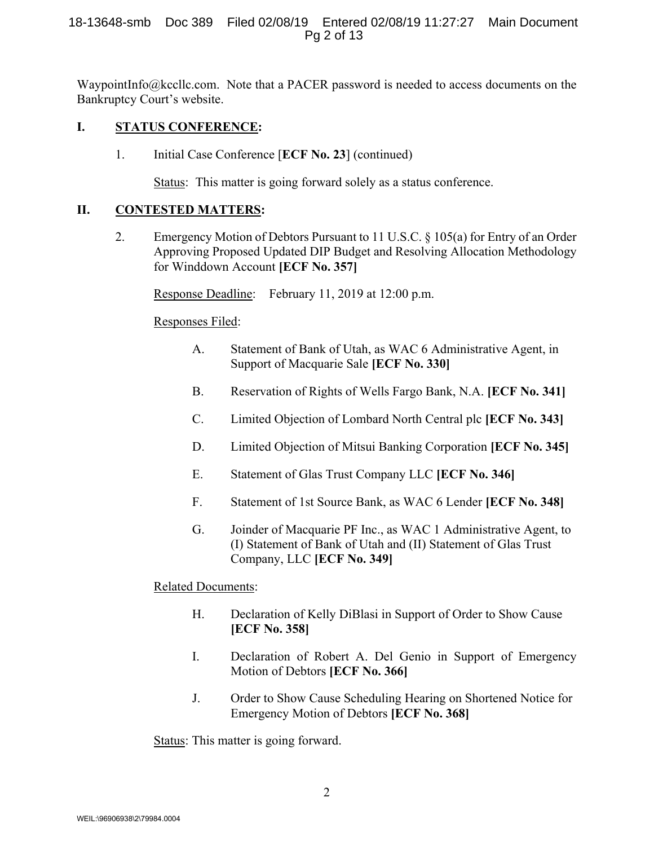WaypointInfo@kccllc.com. Note that a PACER password is needed to access documents on the Bankruptcy Court's website.

### **I. STATUS CONFERENCE:**

1. Initial Case Conference [**ECF No. 23**] (continued)

Status: This matter is going forward solely as a status conference.

# **II. CONTESTED MATTERS:**

2. Emergency Motion of Debtors Pursuant to 11 U.S.C. § 105(a) for Entry of an Order Approving Proposed Updated DIP Budget and Resolving Allocation Methodology for Winddown Account **[ECF No. 357]**

Response Deadline: February 11, 2019 at 12:00 p.m.

# Responses Filed:

- A. Statement of Bank of Utah, as WAC 6 Administrative Agent, in Support of Macquarie Sale **[ECF No. 330]**
- B. Reservation of Rights of Wells Fargo Bank, N.A. **[ECF No. 341]**
- C. Limited Objection of Lombard North Central plc **[ECF No. 343]**
- D. Limited Objection of Mitsui Banking Corporation **[ECF No. 345]**
- E. Statement of Glas Trust Company LLC **[ECF No. 346]**
- F. Statement of 1st Source Bank, as WAC 6 Lender **[ECF No. 348]**
- G. Joinder of Macquarie PF Inc., as WAC 1 Administrative Agent, to (I) Statement of Bank of Utah and (II) Statement of Glas Trust Company, LLC **[ECF No. 349]**

# Related Documents:

- H. Declaration of Kelly DiBlasi in Support of Order to Show Cause **[ECF No. 358]**
- I. Declaration of Robert A. Del Genio in Support of Emergency Motion of Debtors **[ECF No. 366]**
- J. Order to Show Cause Scheduling Hearing on Shortened Notice for Emergency Motion of Debtors **[ECF No. 368]**

Status: This matter is going forward.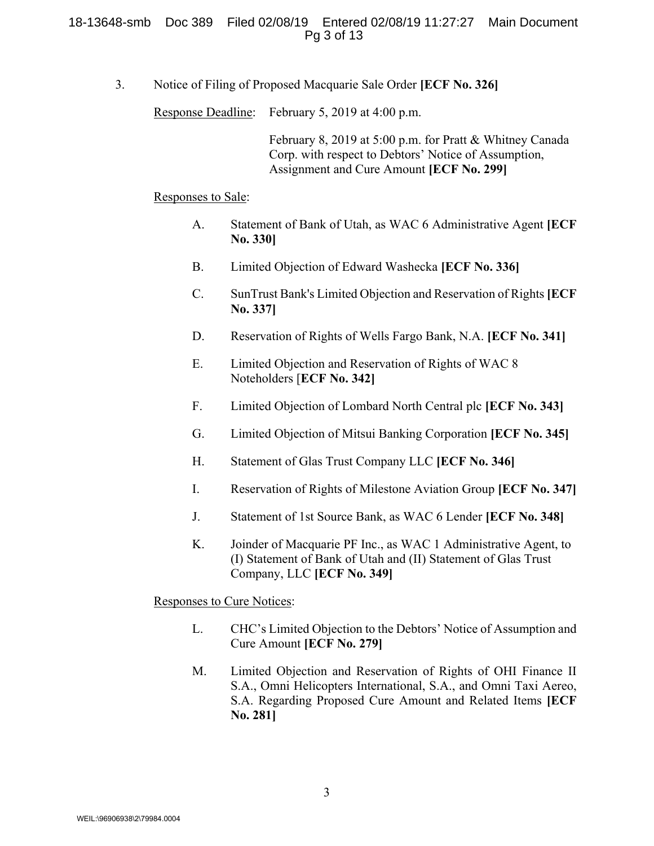#### 18-13648-smb Doc 389 Filed 02/08/19 Entered 02/08/19 11:27:27 Main Document Pg 3 of 13

3. Notice of Filing of Proposed Macquarie Sale Order **[ECF No. 326]**

Response Deadline: February 5, 2019 at 4:00 p.m.

 February 8, 2019 at 5:00 p.m. for Pratt & Whitney Canada Corp. with respect to Debtors' Notice of Assumption, Assignment and Cure Amount **[ECF No. 299]**

Responses to Sale:

- A. Statement of Bank of Utah, as WAC 6 Administrative Agent **[ECF No. 330]**
- B. Limited Objection of Edward Washecka **[ECF No. 336]**
- C. SunTrust Bank's Limited Objection and Reservation of Rights**[ECF No. 337]**
- D. Reservation of Rights of Wells Fargo Bank, N.A. **[ECF No. 341]**
- E. Limited Objection and Reservation of Rights of WAC 8 Noteholders [**ECF No. 342]**
- F. Limited Objection of Lombard North Central plc **[ECF No. 343]**
- G. Limited Objection of Mitsui Banking Corporation **[ECF No. 345]**
- H. Statement of Glas Trust Company LLC **[ECF No. 346]**
- I. Reservation of Rights of Milestone Aviation Group **[ECF No. 347]**
- J. Statement of 1st Source Bank, as WAC 6 Lender **[ECF No. 348]**
- K. Joinder of Macquarie PF Inc., as WAC 1 Administrative Agent, to (I) Statement of Bank of Utah and (II) Statement of Glas Trust Company, LLC **[ECF No. 349]**

Responses to Cure Notices:

- L. CHC's Limited Objection to the Debtors' Notice of Assumption and Cure Amount **[ECF No. 279]**
- M.Limited Objection and Reservation of Rights of OHI Finance II S.A., Omni Helicopters International, S.A., and Omni Taxi Aereo, S.A. Regarding Proposed Cure Amount and Related Items **[ECF No. 281]**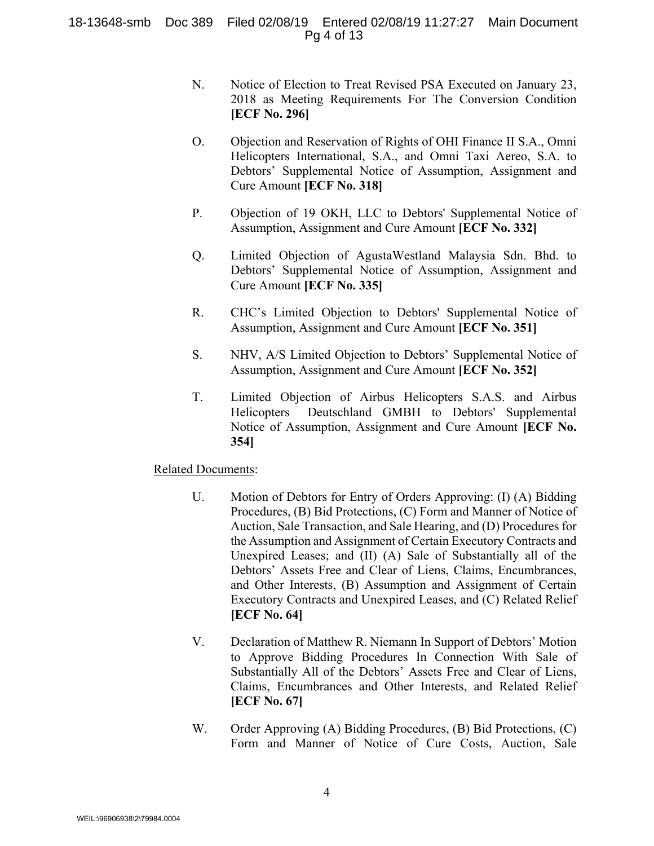### 18-13648-smb Doc 389 Filed 02/08/19 Entered 02/08/19 11:27:27 Main Document Pg 4 of 13

- N. Notice of Election to Treat Revised PSA Executed on January 23, 2018 as Meeting Requirements For The Conversion Condition **[ECF No. 296]**
- O. Objection and Reservation of Rights of OHI Finance II S.A., Omni Helicopters International, S.A., and Omni Taxi Aereo, S.A. to Debtors' Supplemental Notice of Assumption, Assignment and Cure Amount **[ECF No. 318]**
- P. Objection of 19 OKH, LLC to Debtors' Supplemental Notice of Assumption, Assignment and Cure Amount **[ECF No. 332]**
- Q. Limited Objection of AgustaWestland Malaysia Sdn. Bhd. to Debtors' Supplemental Notice of Assumption, Assignment and Cure Amount **[ECF No. 335]**
- R. CHC's Limited Objection to Debtors' Supplemental Notice of Assumption, Assignment and Cure Amount **[ECF No. 351]**
- S. NHV, A/S Limited Objection to Debtors' Supplemental Notice of Assumption, Assignment and Cure Amount **[ECF No. 352]**
- T. Limited Objection of Airbus Helicopters S.A.S. and Airbus Helicopters Deutschland GMBH to Debtors' Supplemental Notice of Assumption, Assignment and Cure Amount **[ECF No. 354]**

### Related Documents:

- U. Motion of Debtors for Entry of Orders Approving: (I) (A) Bidding Procedures, (B) Bid Protections, (C) Form and Manner of Notice of Auction, Sale Transaction, and Sale Hearing, and (D) Procedures for the Assumption and Assignment of Certain Executory Contracts and Unexpired Leases; and (II) (A) Sale of Substantially all of the Debtors' Assets Free and Clear of Liens, Claims, Encumbrances, and Other Interests, (B) Assumption and Assignment of Certain Executory Contracts and Unexpired Leases, and (C) Related Relief **[ECF No. 64]**
- V. Declaration of Matthew R. Niemann In Support of Debtors' Motion to Approve Bidding Procedures In Connection With Sale of Substantially All of the Debtors' Assets Free and Clear of Liens, Claims, Encumbrances and Other Interests, and Related Relief **[ECF No. 67]**
- W. Order Approving (A) Bidding Procedures, (B) Bid Protections, (C) Form and Manner of Notice of Cure Costs, Auction, Sale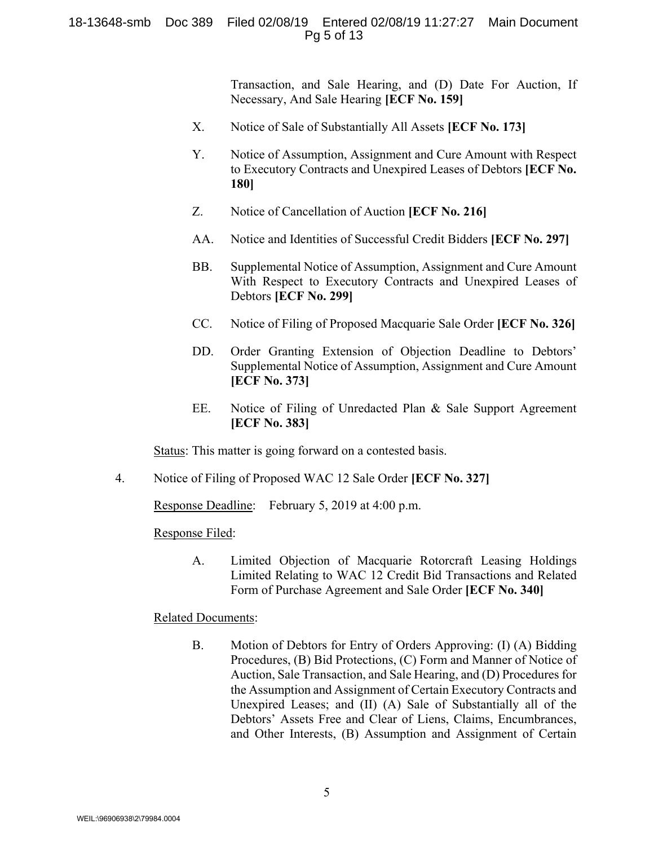#### 18-13648-smb Doc 389 Filed 02/08/19 Entered 02/08/19 11:27:27 Main Document Pg 5 of 13

Transaction, and Sale Hearing, and (D) Date For Auction, If Necessary, And Sale Hearing **[ECF No. 159]**

- X. Notice of Sale of Substantially All Assets **[ECF No. 173]**
- Y. Notice of Assumption, Assignment and Cure Amount with Respect to Executory Contracts and Unexpired Leases of Debtors **[ECF No. 180]**
- Z. Notice of Cancellation of Auction **[ECF No. 216]**
- AA. Notice and Identities of Successful Credit Bidders **[ECF No. 297]**
- BB. Supplemental Notice of Assumption, Assignment and Cure Amount With Respect to Executory Contracts and Unexpired Leases of Debtors **[ECF No. 299]**
- CC. Notice of Filing of Proposed Macquarie Sale Order **[ECF No. 326]**
- DD. Order Granting Extension of Objection Deadline to Debtors' Supplemental Notice of Assumption, Assignment and Cure Amount **[ECF No. 373]**
- EE. Notice of Filing of Unredacted Plan & Sale Support Agreement **[ECF No. 383]**

Status: This matter is going forward on a contested basis.

4. Notice of Filing of Proposed WAC 12 Sale Order **[ECF No. 327]** 

Response Deadline: February 5, 2019 at 4:00 p.m.

Response Filed:

A. Limited Objection of Macquarie Rotorcraft Leasing Holdings Limited Relating to WAC 12 Credit Bid Transactions and Related Form of Purchase Agreement and Sale Order **[ECF No. 340]** 

### Related Documents:

B. Motion of Debtors for Entry of Orders Approving: (I) (A) Bidding Procedures, (B) Bid Protections, (C) Form and Manner of Notice of Auction, Sale Transaction, and Sale Hearing, and (D) Procedures for the Assumption and Assignment of Certain Executory Contracts and Unexpired Leases; and (II) (A) Sale of Substantially all of the Debtors' Assets Free and Clear of Liens, Claims, Encumbrances, and Other Interests, (B) Assumption and Assignment of Certain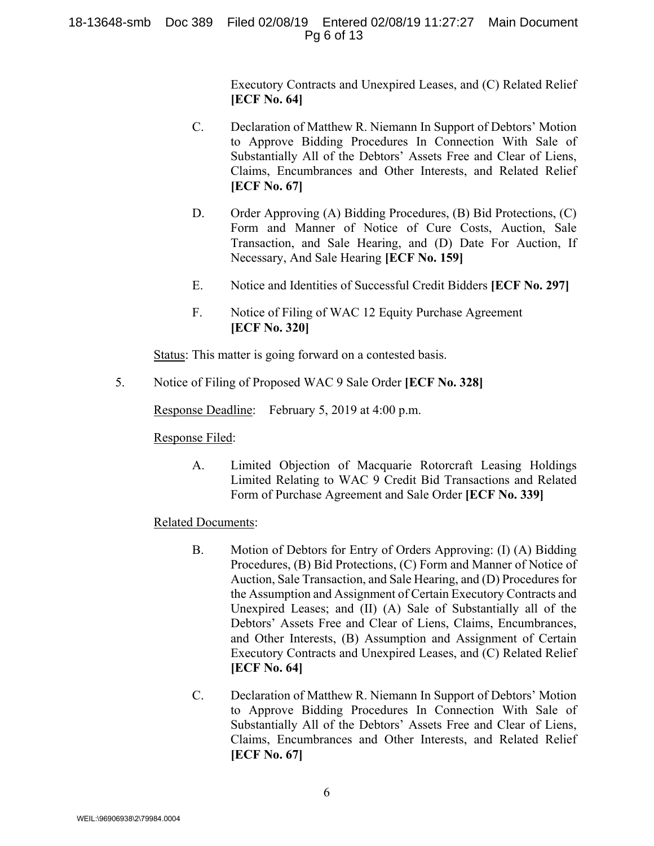### 18-13648-smb Doc 389 Filed 02/08/19 Entered 02/08/19 11:27:27 Main Document Pg 6 of 13

Executory Contracts and Unexpired Leases, and (C) Related Relief **[ECF No. 64]**

- C. Declaration of Matthew R. Niemann In Support of Debtors' Motion to Approve Bidding Procedures In Connection With Sale of Substantially All of the Debtors' Assets Free and Clear of Liens, Claims, Encumbrances and Other Interests, and Related Relief **[ECF No. 67]**
- D. Order Approving (A) Bidding Procedures, (B) Bid Protections, (C) Form and Manner of Notice of Cure Costs, Auction, Sale Transaction, and Sale Hearing, and (D) Date For Auction, If Necessary, And Sale Hearing **[ECF No. 159]**
- E. Notice and Identities of Successful Credit Bidders **[ECF No. 297]**
- F. Notice of Filing of WAC 12 Equity Purchase Agreement **[ECF No. 320]**

Status: This matter is going forward on a contested basis.

5. Notice of Filing of Proposed WAC 9 Sale Order **[ECF No. 328]**

Response Deadline: February 5, 2019 at 4:00 p.m.

Response Filed:

A. Limited Objection of Macquarie Rotorcraft Leasing Holdings Limited Relating to WAC 9 Credit Bid Transactions and Related Form of Purchase Agreement and Sale Order **[ECF No. 339]** 

# Related Documents:

- B. Motion of Debtors for Entry of Orders Approving: (I) (A) Bidding Procedures, (B) Bid Protections, (C) Form and Manner of Notice of Auction, Sale Transaction, and Sale Hearing, and (D) Procedures for the Assumption and Assignment of Certain Executory Contracts and Unexpired Leases; and (II) (A) Sale of Substantially all of the Debtors' Assets Free and Clear of Liens, Claims, Encumbrances, and Other Interests, (B) Assumption and Assignment of Certain Executory Contracts and Unexpired Leases, and (C) Related Relief **[ECF No. 64]**
- C. Declaration of Matthew R. Niemann In Support of Debtors' Motion to Approve Bidding Procedures In Connection With Sale of Substantially All of the Debtors' Assets Free and Clear of Liens, Claims, Encumbrances and Other Interests, and Related Relief **[ECF No. 67]**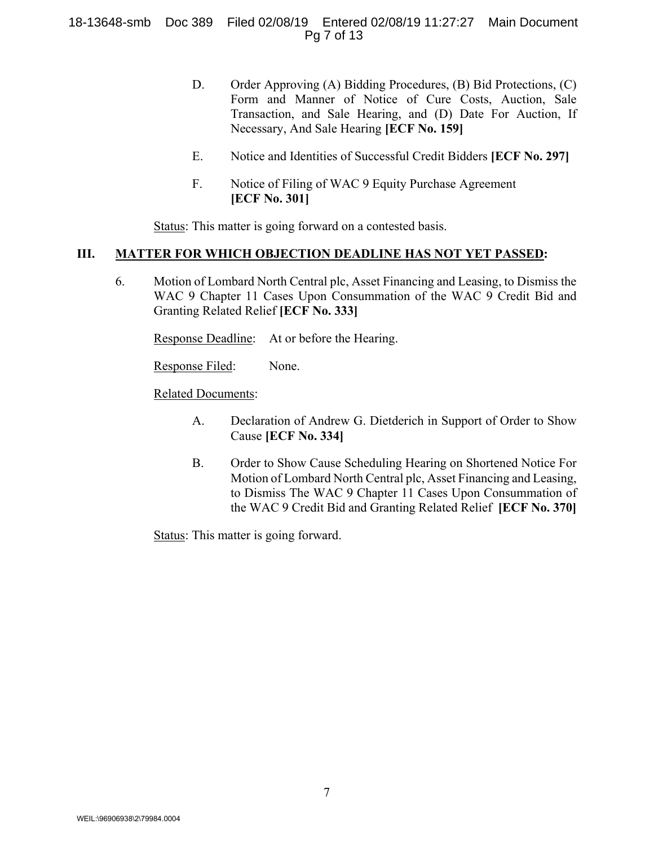### 18-13648-smb Doc 389 Filed 02/08/19 Entered 02/08/19 11:27:27 Main Document Pg 7 of 13

- D. Order Approving (A) Bidding Procedures, (B) Bid Protections, (C) Form and Manner of Notice of Cure Costs, Auction, Sale Transaction, and Sale Hearing, and (D) Date For Auction, If Necessary, And Sale Hearing **[ECF No. 159]**
- E. Notice and Identities of Successful Credit Bidders **[ECF No. 297]**
- F. Notice of Filing of WAC 9 Equity Purchase Agreement **[ECF No. 301]**

Status: This matter is going forward on a contested basis.

### **III. MATTER FOR WHICH OBJECTION DEADLINE HAS NOT YET PASSED:**

6. Motion of Lombard North Central plc, Asset Financing and Leasing, to Dismiss the WAC 9 Chapter 11 Cases Upon Consummation of the WAC 9 Credit Bid and Granting Related Relief **[ECF No. 333]**

Response Deadline: At or before the Hearing.

Response Filed: None.

# Related Documents:

- A. Declaration of Andrew G. Dietderich in Support of Order to Show Cause **[ECF No. 334]**
- B. Order to Show Cause Scheduling Hearing on Shortened Notice For Motion of Lombard North Central plc, Asset Financing and Leasing, to Dismiss The WAC 9 Chapter 11 Cases Upon Consummation of the WAC 9 Credit Bid and Granting Related Relief **[ECF No. 370]**

Status: This matter is going forward.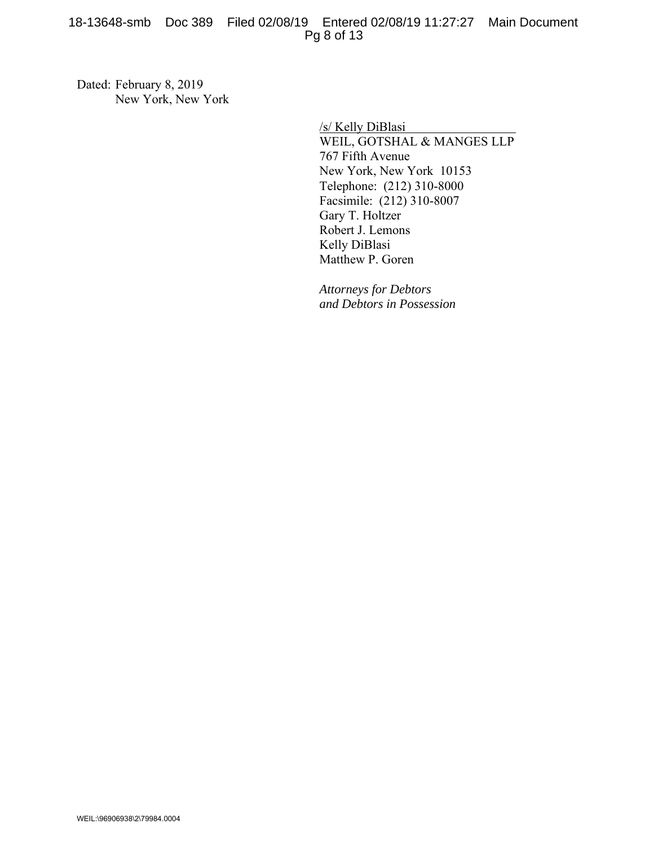## 18-13648-smb Doc 389 Filed 02/08/19 Entered 02/08/19 11:27:27 Main Document Pg 8 of 13

Dated: February 8, 2019 New York, New York

> /s/ Kelly DiBlasi WEIL, GOTSHAL & MANGES LLP 767 Fifth Avenue New York, New York 10153 Telephone: (212) 310-8000 Facsimile: (212) 310-8007 Gary T. Holtzer Robert J. Lemons Kelly DiBlasi Matthew P. Goren

*Attorneys for Debtors and Debtors in Possession*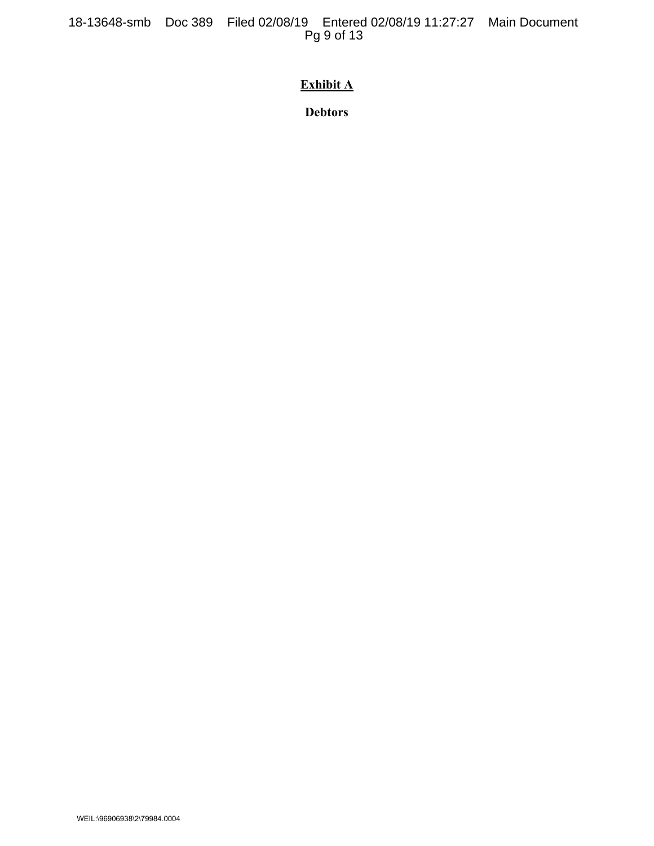18-13648-smb Doc 389 Filed 02/08/19 Entered 02/08/19 11:27:27 Main Document Pg 9 of 13

# **Exhibit A**

**Debtors**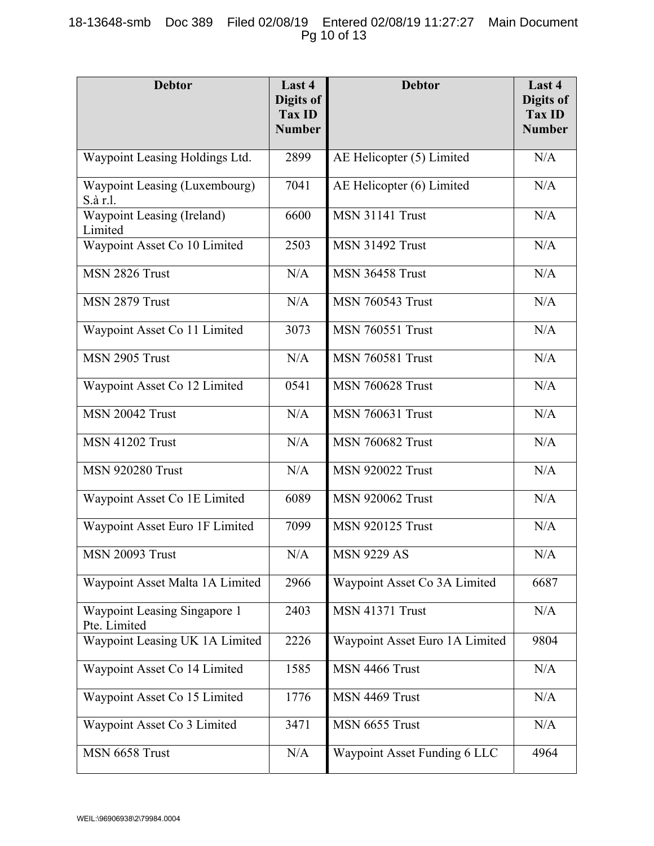# 18-13648-smb Doc 389 Filed 02/08/19 Entered 02/08/19 11:27:27 Main Document Pg 10 of 13

| <b>Debtor</b>                                | Last 4<br>Digits of<br>Tax ID<br><b>Number</b> | <b>Debtor</b>                  | Last 4<br>Digits of<br><b>Tax ID</b><br><b>Number</b> |
|----------------------------------------------|------------------------------------------------|--------------------------------|-------------------------------------------------------|
| Waypoint Leasing Holdings Ltd.               | 2899                                           | AE Helicopter (5) Limited      | N/A                                                   |
| Waypoint Leasing (Luxembourg)<br>S.à r.l.    | 7041                                           | AE Helicopter (6) Limited      | N/A                                                   |
| Waypoint Leasing (Ireland)<br>Limited        | 6600                                           | <b>MSN 31141 Trust</b>         | N/A                                                   |
| Waypoint Asset Co 10 Limited                 | 2503                                           | <b>MSN 31492 Trust</b>         | N/A                                                   |
| MSN 2826 Trust                               | N/A                                            | <b>MSN 36458 Trust</b>         | N/A                                                   |
| MSN 2879 Trust                               | N/A                                            | <b>MSN 760543 Trust</b>        | N/A                                                   |
| Waypoint Asset Co 11 Limited                 | 3073                                           | <b>MSN 760551 Trust</b>        | N/A                                                   |
| MSN 2905 Trust                               | N/A                                            | <b>MSN 760581 Trust</b>        | N/A                                                   |
| Waypoint Asset Co 12 Limited                 | 0541                                           | <b>MSN 760628 Trust</b>        | N/A                                                   |
| <b>MSN 20042 Trust</b>                       | N/A                                            | <b>MSN 760631 Trust</b>        | N/A                                                   |
| <b>MSN 41202 Trust</b>                       | N/A                                            | <b>MSN 760682 Trust</b>        | N/A                                                   |
| <b>MSN 920280 Trust</b>                      | N/A                                            | <b>MSN 920022 Trust</b>        | N/A                                                   |
| Waypoint Asset Co 1E Limited                 | 6089                                           | <b>MSN 920062 Trust</b>        | N/A                                                   |
| Waypoint Asset Euro 1F Limited               | 7099                                           | <b>MSN 920125 Trust</b>        | N/A                                                   |
| MSN 20093 Trust                              | N/A                                            | <b>MSN 9229 AS</b>             | N/A                                                   |
| Waypoint Asset Malta 1A Limited              | 2966                                           | Waypoint Asset Co 3A Limited   | 6687                                                  |
| Waypoint Leasing Singapore 1<br>Pte. Limited | 2403                                           | MSN 41371 Trust                | N/A                                                   |
| Waypoint Leasing UK 1A Limited               | 2226                                           | Waypoint Asset Euro 1A Limited | 9804                                                  |
| Waypoint Asset Co 14 Limited                 | 1585                                           | MSN 4466 Trust                 | N/A                                                   |
| Waypoint Asset Co 15 Limited                 | 1776                                           | MSN 4469 Trust                 | N/A                                                   |
| Waypoint Asset Co 3 Limited                  | 3471                                           | MSN 6655 Trust                 | N/A                                                   |
| MSN 6658 Trust                               | N/A                                            | Waypoint Asset Funding 6 LLC   | 4964                                                  |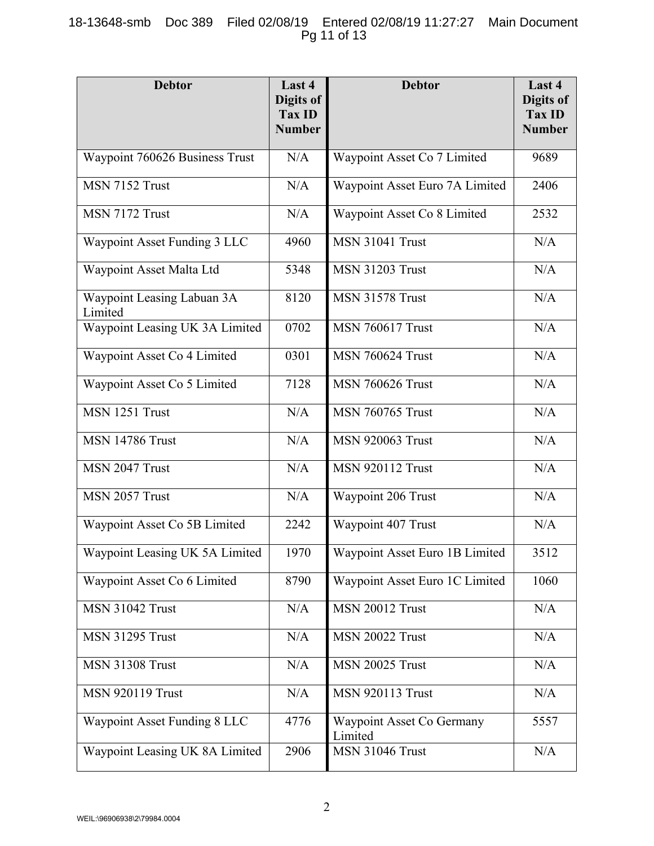# 18-13648-smb Doc 389 Filed 02/08/19 Entered 02/08/19 11:27:27 Main Document Pg 11 of 13

| <b>Debtor</b>                         | Last 4<br><b>Digits of</b><br>Tax ID | <b>Debtor</b>                        | Last 4<br>Digits of<br>Tax ID |
|---------------------------------------|--------------------------------------|--------------------------------------|-------------------------------|
|                                       | <b>Number</b>                        |                                      | <b>Number</b>                 |
| Waypoint 760626 Business Trust        | N/A                                  | Waypoint Asset Co 7 Limited          | 9689                          |
| MSN 7152 Trust                        | N/A                                  | Waypoint Asset Euro 7A Limited       | 2406                          |
| MSN 7172 Trust                        | N/A                                  | Waypoint Asset Co 8 Limited          | 2532                          |
| Waypoint Asset Funding 3 LLC          | 4960                                 | <b>MSN 31041 Trust</b>               | N/A                           |
| Waypoint Asset Malta Ltd              | 5348                                 | <b>MSN 31203 Trust</b>               | N/A                           |
| Waypoint Leasing Labuan 3A<br>Limited | 8120                                 | <b>MSN 31578 Trust</b>               | N/A                           |
| Waypoint Leasing UK 3A Limited        | 0702                                 | <b>MSN 760617 Trust</b>              | N/A                           |
| Waypoint Asset Co 4 Limited           | 0301                                 | <b>MSN 760624 Trust</b>              | N/A                           |
| Waypoint Asset Co 5 Limited           | 7128                                 | <b>MSN 760626 Trust</b>              | N/A                           |
| MSN 1251 Trust                        | N/A                                  | <b>MSN 760765 Trust</b>              | N/A                           |
| <b>MSN 14786 Trust</b>                | N/A                                  | <b>MSN 920063 Trust</b>              | N/A                           |
| MSN 2047 Trust                        | N/A                                  | <b>MSN 920112 Trust</b>              | N/A                           |
| MSN 2057 Trust                        | N/A                                  | Waypoint 206 Trust                   | N/A                           |
| Waypoint Asset Co 5B Limited          | 2242                                 | Waypoint 407 Trust                   | N/A                           |
| Waypoint Leasing UK 5A Limited        | 1970                                 | Waypoint Asset Euro 1B Limited       | 3512                          |
| Waypoint Asset Co 6 Limited           | 8790                                 | Waypoint Asset Euro 1C Limited       | 1060                          |
| <b>MSN 31042 Trust</b>                | N/A                                  | <b>MSN 20012 Trust</b>               | N/A                           |
| <b>MSN 31295 Trust</b>                | N/A                                  | <b>MSN 20022 Trust</b>               | N/A                           |
| <b>MSN 31308 Trust</b>                | N/A                                  | <b>MSN 20025 Trust</b>               | N/A                           |
| <b>MSN 920119 Trust</b>               | N/A                                  | <b>MSN 920113 Trust</b>              | N/A                           |
| Waypoint Asset Funding 8 LLC          | 4776                                 | Waypoint Asset Co Germany<br>Limited | 5557                          |
| Waypoint Leasing UK 8A Limited        | 2906                                 | MSN 31046 Trust                      | N/A                           |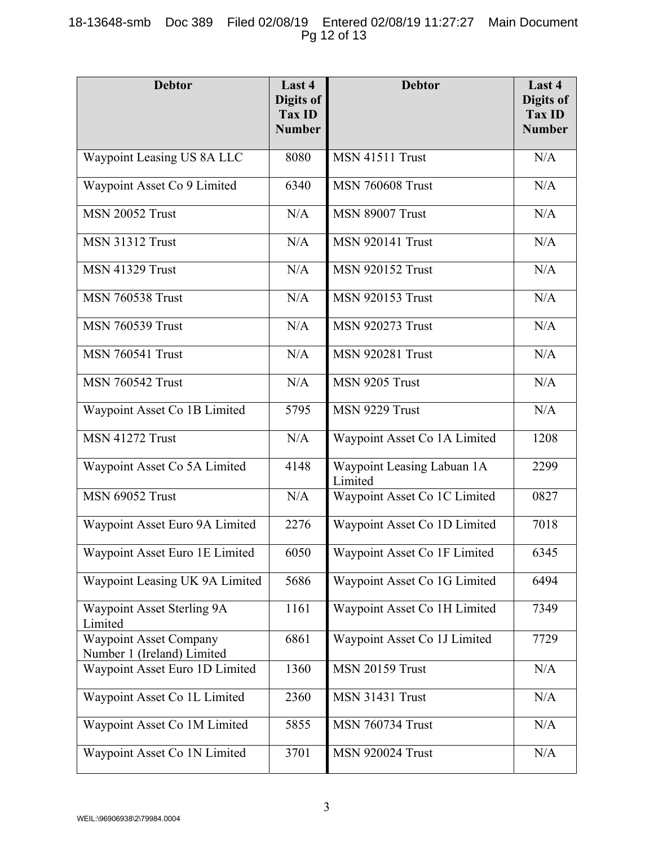# 18-13648-smb Doc 389 Filed 02/08/19 Entered 02/08/19 11:27:27 Main Document Pg 12 of 13

| <b>Debtor</b>                                               | Last 4<br>Digits of<br>Tax ID<br><b>Number</b> | <b>Debtor</b>                         | Last 4<br>Digits of<br>Tax ID<br><b>Number</b> |
|-------------------------------------------------------------|------------------------------------------------|---------------------------------------|------------------------------------------------|
| Waypoint Leasing US 8A LLC                                  | 8080                                           | <b>MSN 41511 Trust</b>                | N/A                                            |
| Waypoint Asset Co 9 Limited                                 | 6340                                           | <b>MSN 760608 Trust</b>               | N/A                                            |
| <b>MSN 20052 Trust</b>                                      | N/A                                            | <b>MSN 89007 Trust</b>                | N/A                                            |
| <b>MSN 31312 Trust</b>                                      | N/A                                            | <b>MSN 920141 Trust</b>               | N/A                                            |
| <b>MSN 41329 Trust</b>                                      | N/A                                            | <b>MSN 920152 Trust</b>               | N/A                                            |
| <b>MSN 760538 Trust</b>                                     | N/A                                            | <b>MSN 920153 Trust</b>               | N/A                                            |
| <b>MSN 760539 Trust</b>                                     | N/A                                            | <b>MSN 920273 Trust</b>               | N/A                                            |
| <b>MSN 760541 Trust</b>                                     | N/A                                            | <b>MSN 920281 Trust</b>               | N/A                                            |
| <b>MSN 760542 Trust</b>                                     | N/A                                            | MSN 9205 Trust                        | $\rm N/A$                                      |
| Waypoint Asset Co 1B Limited                                | 5795                                           | MSN 9229 Trust                        | N/A                                            |
| <b>MSN 41272 Trust</b>                                      | N/A                                            | Waypoint Asset Co 1A Limited          | 1208                                           |
| Waypoint Asset Co 5A Limited                                | 4148                                           | Waypoint Leasing Labuan 1A<br>Limited | 2299                                           |
| <b>MSN 69052 Trust</b>                                      | N/A                                            | Waypoint Asset Co 1C Limited          | 0827                                           |
| Waypoint Asset Euro 9A Limited                              | 2276                                           | Waypoint Asset Co 1D Limited          | 7018                                           |
| Waypoint Asset Euro 1E Limited                              | 6050                                           | Waypoint Asset Co 1F Limited          | 6345                                           |
| Waypoint Leasing UK 9A Limited                              | 5686                                           | Waypoint Asset Co 1G Limited          | 6494                                           |
| Waypoint Asset Sterling 9A<br>Limited                       | 1161                                           | Waypoint Asset Co 1H Limited          | 7349                                           |
| <b>Waypoint Asset Company</b><br>Number 1 (Ireland) Limited | 6861                                           | Waypoint Asset Co 1J Limited          | 7729                                           |
| Waypoint Asset Euro 1D Limited                              | 1360                                           | <b>MSN 20159 Trust</b>                | N/A                                            |
| Waypoint Asset Co 1L Limited                                | 2360                                           | <b>MSN 31431 Trust</b>                | N/A                                            |
| Waypoint Asset Co 1M Limited                                | 5855                                           | <b>MSN 760734 Trust</b>               | N/A                                            |
| Waypoint Asset Co 1N Limited                                | 3701                                           | <b>MSN 920024 Trust</b>               | N/A                                            |